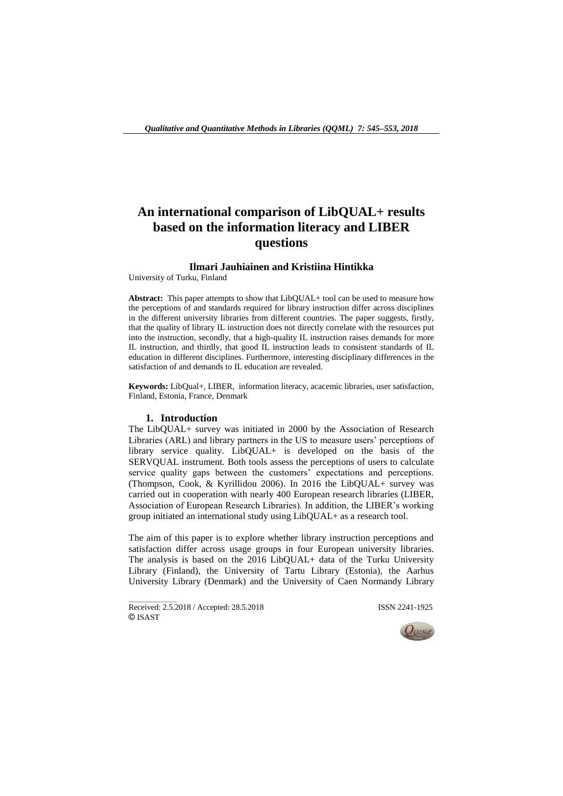# **An international comparison of LibQUAL+ results based on the information literacy and LIBER questions**

# **Ilmari Jauhiainen and Kristiina Hintikka**

University of Turku, Finland

**Abstract:** This paper attempts to show that LibQUAL+ tool can be used to measure how the perceptions of and standards required for library instruction differ across disciplines in the different university libraries from different countries. The paper suggests, firstly, that the quality of library IL instruction does not directly correlate with the resources put into the instruction, secondly, that a high-quality IL instruction raises demands for more IL instruction, and thirdly, that good IL instruction leads to consistent standards of IL education in different disciplines. Furthermore, interesting disciplinary differences in the satisfaction of and demands to IL education are revealed.

**Keywords:** LibQual+, LIBER, information literacy, acacemic libraries, user satisfaction, Finland, Estonia, France, Denmark

#### **1. Introduction**

The LibQUAL+ survey was initiated in 2000 by the Association of Research Libraries (ARL) and library partners in the US to measure users' perceptions of library service quality. LibQUAL+ is developed on the basis of the SERVQUAL instrument. Both tools assess the perceptions of users to calculate service quality gaps between the customers' expectations and perceptions. (Thompson, Cook, & Kyrillidou 2006). In 2016 the LibQUAL+ survey was carried out in cooperation with nearly 400 European research libraries (LIBER, Association of European Research Libraries). In addition, the LIBER's working group initiated an international study using LibQUAL+ as a research tool.

The aim of this paper is to explore whether library instruction perceptions and satisfaction differ across usage groups in four European university libraries. The analysis is based on the 2016 LibQUAL+ data of the Turku University Library (Finland), the University of Tartu Library (Estonia), the Aarhus University Library (Denmark) and the University of Caen Normandy Library

Received: 2.5.2018 / Accepted: 28.5.2018 **ISSN 2241-1925** © ISAST

 $\overline{\phantom{a}}$  , where  $\overline{\phantom{a}}$ 

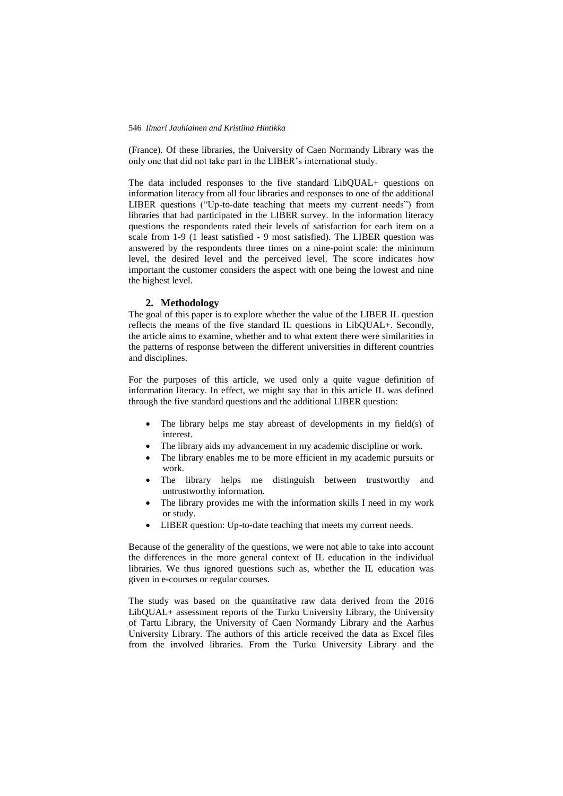#### 546 *Ilmari Jauhiainen and Kristiina Hintikka*

(France). Of these libraries, the University of Caen Normandy Library was the only one that did not take part in the LIBER's international study.

The data included responses to the five standard LibQUAL+ questions on information literacy from all four libraries and responses to one of the additional LIBER questions ("Up-to-date teaching that meets my current needs") from libraries that had participated in the LIBER survey. In the information literacy questions the respondents rated their levels of satisfaction for each item on a scale from 1-9 (1 least satisfied - 9 most satisfied). The LIBER question was answered by the respondents three times on a nine-point scale: the minimum level, the desired level and the perceived level. The score indicates how important the customer considers the aspect with one being the lowest and nine the highest level.

## **2. Methodology**

The goal of this paper is to explore whether the value of the LIBER IL question reflects the means of the five standard IL questions in LibQUAL+. Secondly, the article aims to examine, whether and to what extent there were similarities in the patterns of response between the different universities in different countries and disciplines.

For the purposes of this article, we used only a quite vague definition of information literacy. In effect, we might say that in this article IL was defined through the five standard questions and the additional LIBER question:

- The library helps me stay abreast of developments in my field(s) of interest.
- The library aids my advancement in my academic discipline or work.
- The library enables me to be more efficient in my academic pursuits or work.
- The library helps me distinguish between trustworthy and untrustworthy information.
- The library provides me with the information skills I need in my work or study.
- LIBER question: Up-to-date teaching that meets my current needs.

Because of the generality of the questions, we were not able to take into account the differences in the more general context of IL education in the individual libraries. We thus ignored questions such as, whether the IL education was given in e-courses or regular courses.

The study was based on the quantitative raw data derived from the 2016 LibQUAL+ assessment reports of the Turku University Library, the University of Tartu Library, the University of Caen Normandy Library and the Aarhus University Library. The authors of this article received the data as Excel files from the involved libraries. From the Turku University Library and the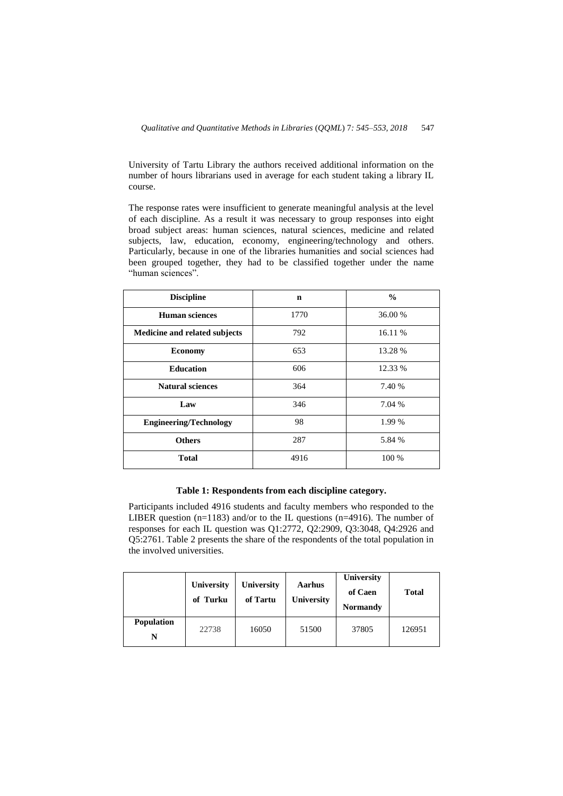University of Tartu Library the authors received additional information on the number of hours librarians used in average for each student taking a library IL course.

The response rates were insufficient to generate meaningful analysis at the level of each discipline. As a result it was necessary to group responses into eight broad subject areas: human sciences, natural sciences, medicine and related subjects, law, education, economy, engineering/technology and others. Particularly, because in one of the libraries humanities and social sciences had been grouped together, they had to be classified together under the name "human sciences".

| <b>Discipline</b>             | $\mathbf n$ | $\frac{0}{0}$ |
|-------------------------------|-------------|---------------|
| <b>Human sciences</b>         | 1770        | 36.00 %       |
| Medicine and related subjects | 792         | 16.11 %       |
| <b>Economy</b>                | 653         | 13.28 %       |
| <b>Education</b>              | 606         | 12.33 %       |
| <b>Natural sciences</b>       | 364         | 7.40 %        |
| Law                           | 346         | 7.04 %        |
| <b>Engineering/Technology</b> | 98          | 1.99 %        |
| <b>Others</b>                 | 287         | 5.84 %        |
| <b>Total</b>                  | 4916        | 100 %         |

# **Table 1: Respondents from each discipline category.**

Participants included 4916 students and faculty members who responded to the LIBER question (n=1183) and/or to the IL questions (n=4916). The number of responses for each IL question was Q1:2772, Q2:2909, Q3:3048, Q4:2926 and Q5:2761. Table 2 presents the share of the respondents of the total population in the involved universities.

|                        | <b>University</b><br>of Turku | University<br>of Tartu | Aarhus<br><b>University</b> | University<br>of Caen<br><b>Normandy</b> | <b>Total</b> |
|------------------------|-------------------------------|------------------------|-----------------------------|------------------------------------------|--------------|
| <b>Population</b><br>N | 22738                         | 16050                  | 51500                       | 37805                                    | 126951       |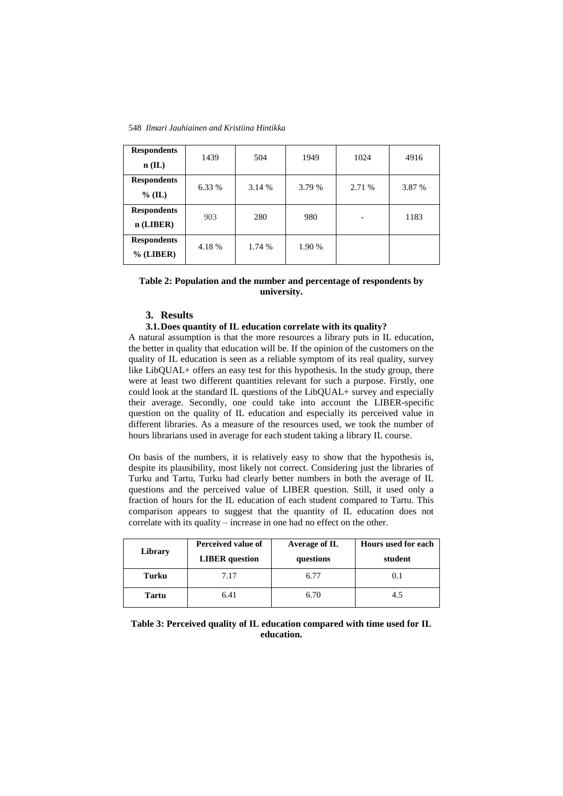548 *Ilmari Jauhiainen and Kristiina Hintikka*

| <b>Respondents</b> | 1439   | 504    | 1949   | 1024   | 4916   |
|--------------------|--------|--------|--------|--------|--------|
| $n$ (IL)           |        |        |        |        |        |
| <b>Respondents</b> | 6.33 % | 3.14 % | 3.79 % | 2.71 % | 3.87 % |
| $%$ (IL)           |        |        |        |        |        |
| <b>Respondents</b> | 903    | 280    | 980    | -      | 1183   |
| $n$ (LIBER)        |        |        |        |        |        |
| <b>Respondents</b> | 4.18 % | 1.74 % | 1.90 % |        |        |
| $%$ (LIBER)        |        |        |        |        |        |

# **Table 2: Population and the number and percentage of respondents by university.**

## **3. Results**

## **3.1.Does quantity of IL education correlate with its quality?**

A natural assumption is that the more resources a library puts in IL education, the better in quality that education will be. If the opinion of the customers on the quality of IL education is seen as a reliable symptom of its real quality, survey like LibQUAL+ offers an easy test for this hypothesis. In the study group, there were at least two different quantities relevant for such a purpose. Firstly, one could look at the standard IL questions of the LibQUAL+ survey and especially their average. Secondly, one could take into account the LIBER-specific question on the quality of IL education and especially its perceived value in different libraries. As a measure of the resources used, we took the number of hours librarians used in average for each student taking a library IL course.

On basis of the numbers, it is relatively easy to show that the hypothesis is, despite its plausibility, most likely not correct. Considering just the libraries of Turku and Tartu, Turku had clearly better numbers in both the average of IL questions and the perceived value of LIBER question. Still, it used only a fraction of hours for the IL education of each student compared to Tartu. This comparison appears to suggest that the quantity of IL education does not correlate with its quality – increase in one had no effect on the other.

| Library | Perceived value of<br><b>LIBER</b> question | Average of IL<br>questions | Hours used for each<br>student |
|---------|---------------------------------------------|----------------------------|--------------------------------|
| Turku   | 7.17                                        | 6.77                       | 0.1                            |
| Tartu   | 6.41                                        | 6.70                       | 4.5                            |

**Table 3: Perceived quality of IL education compared with time used for IL education.**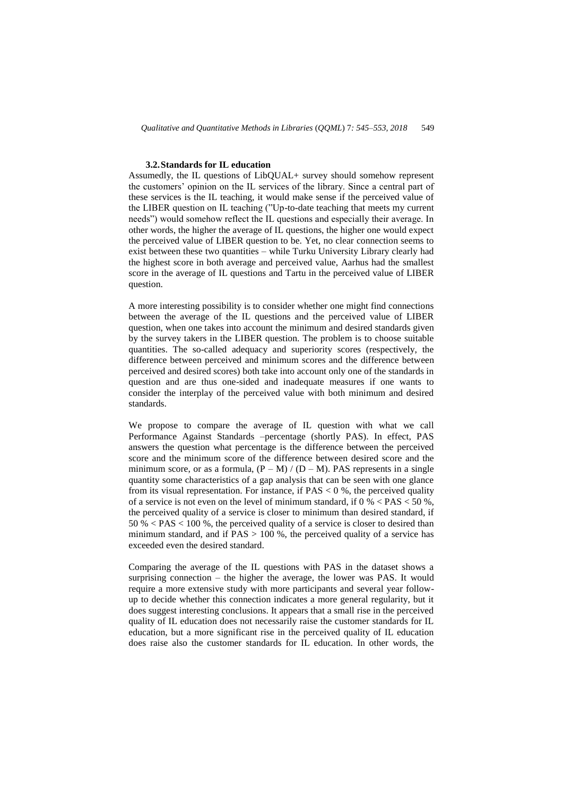## **3.2.Standards for IL education**

Assumedly, the IL questions of LibQUAL+ survey should somehow represent the customers' opinion on the IL services of the library. Since a central part of these services is the IL teaching, it would make sense if the perceived value of the LIBER question on IL teaching ("Up-to-date teaching that meets my current needs") would somehow reflect the IL questions and especially their average. In other words, the higher the average of IL questions, the higher one would expect the perceived value of LIBER question to be. Yet, no clear connection seems to exist between these two quantities – while Turku University Library clearly had the highest score in both average and perceived value, Aarhus had the smallest score in the average of IL questions and Tartu in the perceived value of LIBER question.

A more interesting possibility is to consider whether one might find connections between the average of the IL questions and the perceived value of LIBER question, when one takes into account the minimum and desired standards given by the survey takers in the LIBER question. The problem is to choose suitable quantities. The so-called adequacy and superiority scores (respectively, the difference between perceived and minimum scores and the difference between perceived and desired scores) both take into account only one of the standards in question and are thus one-sided and inadequate measures if one wants to consider the interplay of the perceived value with both minimum and desired standards.

We propose to compare the average of IL question with what we call Performance Against Standards –percentage (shortly PAS). In effect, PAS answers the question what percentage is the difference between the perceived score and the minimum score of the difference between desired score and the minimum score, or as a formula,  $(P - M) / (D - M)$ . PAS represents in a single quantity some characteristics of a gap analysis that can be seen with one glance from its visual representation. For instance, if  $PAS < 0$ %, the perceived quality of a service is not even on the level of minimum standard, if  $0\%$  < PAS < 50 %, the perceived quality of a service is closer to minimum than desired standard, if 50 % < PAS < 100 %, the perceived quality of a service is closer to desired than minimum standard, and if  $PAS > 100$ %, the perceived quality of a service has exceeded even the desired standard.

Comparing the average of the IL questions with PAS in the dataset shows a surprising connection – the higher the average, the lower was PAS. It would require a more extensive study with more participants and several year followup to decide whether this connection indicates a more general regularity, but it does suggest interesting conclusions. It appears that a small rise in the perceived quality of IL education does not necessarily raise the customer standards for IL education, but a more significant rise in the perceived quality of IL education does raise also the customer standards for IL education. In other words, the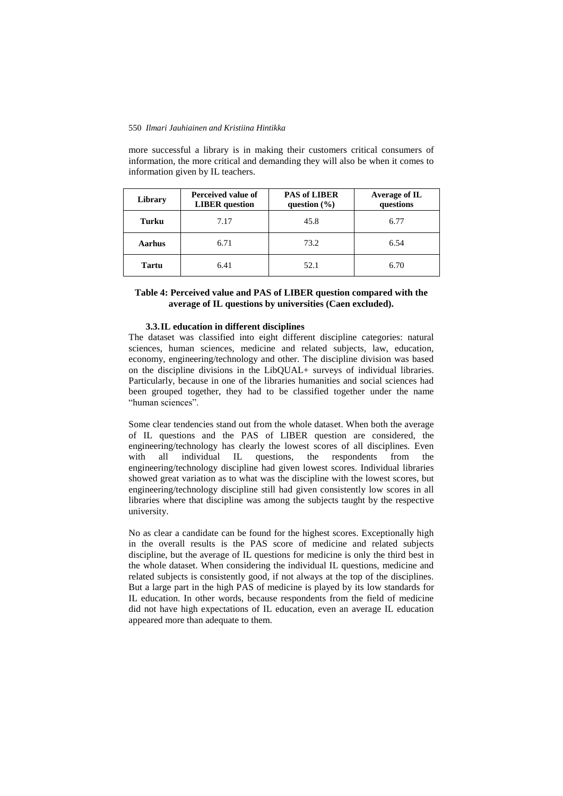#### 550 *Ilmari Jauhiainen and Kristiina Hintikka*

more successful a library is in making their customers critical consumers of information, the more critical and demanding they will also be when it comes to information given by IL teachers.

| Library | Perceived value of<br><b>LIBER</b> question | <b>PAS of LIBER</b><br>question $(\% )$ | Average of IL<br>questions |
|---------|---------------------------------------------|-----------------------------------------|----------------------------|
| Turku   | 7.17                                        | 45.8                                    | 6.77                       |
| Aarhus  | 6.71                                        | 73.2                                    | 6.54                       |
| Tartu   | 6.41                                        | 52.1                                    | 6.70                       |

## **Table 4: Perceived value and PAS of LIBER question compared with the average of IL questions by universities (Caen excluded).**

## **3.3.IL education in different disciplines**

The dataset was classified into eight different discipline categories: natural sciences, human sciences, medicine and related subjects, law, education, economy, engineering/technology and other. The discipline division was based on the discipline divisions in the LibQUAL+ surveys of individual libraries. Particularly, because in one of the libraries humanities and social sciences had been grouped together, they had to be classified together under the name "human sciences".

Some clear tendencies stand out from the whole dataset. When both the average of IL questions and the PAS of LIBER question are considered, the engineering/technology has clearly the lowest scores of all disciplines. Even with all individual IL questions, the respondents from the engineering/technology discipline had given lowest scores. Individual libraries showed great variation as to what was the discipline with the lowest scores, but engineering/technology discipline still had given consistently low scores in all libraries where that discipline was among the subjects taught by the respective university.

No as clear a candidate can be found for the highest scores. Exceptionally high in the overall results is the PAS score of medicine and related subjects discipline, but the average of IL questions for medicine is only the third best in the whole dataset. When considering the individual IL questions, medicine and related subjects is consistently good, if not always at the top of the disciplines. But a large part in the high PAS of medicine is played by its low standards for IL education. In other words, because respondents from the field of medicine did not have high expectations of IL education, even an average IL education appeared more than adequate to them.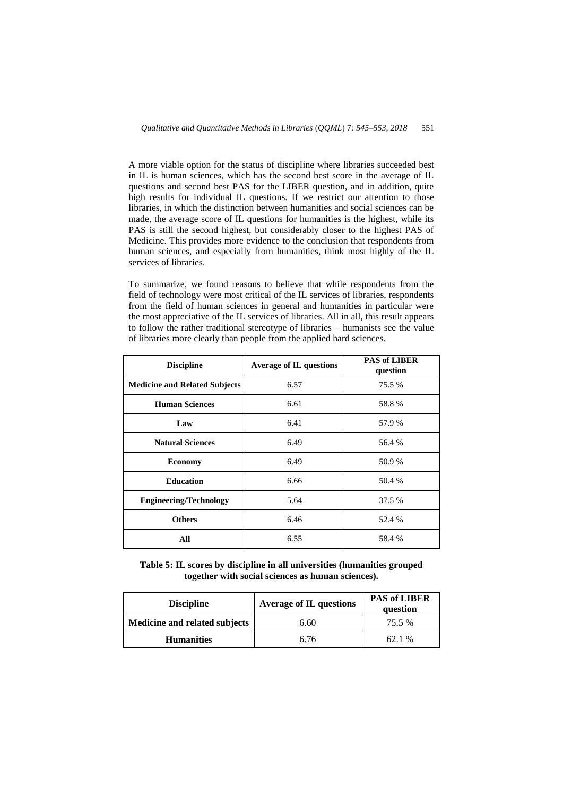A more viable option for the status of discipline where libraries succeeded best in IL is human sciences, which has the second best score in the average of IL questions and second best PAS for the LIBER question, and in addition, quite high results for individual IL questions. If we restrict our attention to those libraries, in which the distinction between humanities and social sciences can be made, the average score of IL questions for humanities is the highest, while its PAS is still the second highest, but considerably closer to the highest PAS of Medicine. This provides more evidence to the conclusion that respondents from human sciences, and especially from humanities, think most highly of the IL services of libraries.

To summarize, we found reasons to believe that while respondents from the field of technology were most critical of the IL services of libraries, respondents from the field of human sciences in general and humanities in particular were the most appreciative of the IL services of libraries. All in all, this result appears to follow the rather traditional stereotype of libraries – humanists see the value of libraries more clearly than people from the applied hard sciences.

| <b>Discipline</b>                    | <b>Average of IL questions</b> | <b>PAS of LIBER</b><br>question |
|--------------------------------------|--------------------------------|---------------------------------|
| <b>Medicine and Related Subjects</b> | 6.57                           | 75.5 %                          |
| <b>Human Sciences</b>                | 6.61                           | 58.8%                           |
| Law                                  | 6.41                           | 57.9 %                          |
| <b>Natural Sciences</b>              | 6.49                           | 56.4 %                          |
| <b>Economy</b>                       | 6.49                           | 50.9%                           |
| <b>Education</b>                     | 6.66                           | 50.4 %                          |
| <b>Engineering/Technology</b>        | 5.64                           | 37.5 %                          |
| <b>Others</b>                        | 6.46                           | 52.4 %                          |
| All                                  | 6.55                           | 58.4%                           |

**Table 5: IL scores by discipline in all universities (humanities grouped together with social sciences as human sciences).**

| <b>Discipline</b>             | <b>Average of IL questions</b> | <b>PAS of LIBER</b><br>question |
|-------------------------------|--------------------------------|---------------------------------|
| Medicine and related subjects | 6.60                           | 75.5 %                          |
| <b>Humanities</b>             | 6.76                           | 62.1%                           |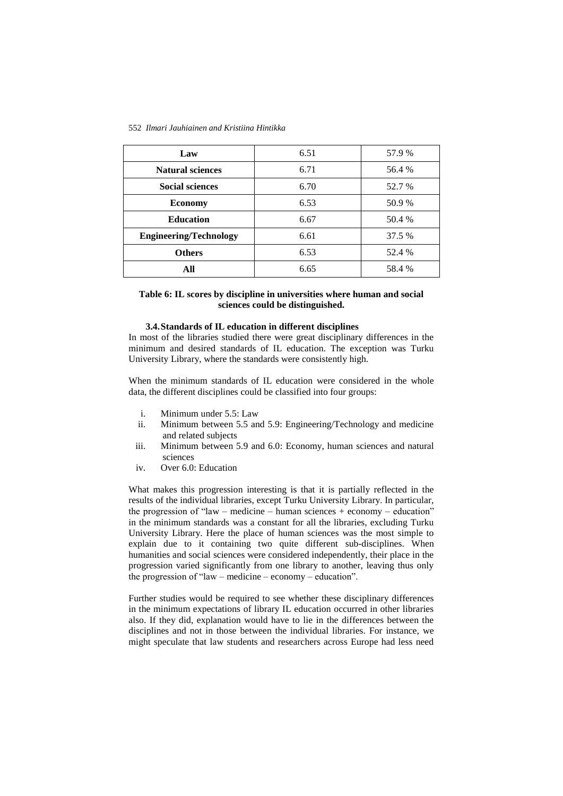#### 552 *Ilmari Jauhiainen and Kristiina Hintikka*

| Law                           | 6.51 | 57.9 % |
|-------------------------------|------|--------|
| <b>Natural sciences</b>       | 6.71 | 56.4 % |
| <b>Social sciences</b>        | 6.70 | 52.7 % |
| <b>Economy</b>                | 6.53 | 50.9 % |
| <b>Education</b>              | 6.67 | 50.4 % |
| <b>Engineering/Technology</b> | 6.61 | 37.5 % |
| <b>Others</b>                 | 6.53 | 52.4 % |
| All                           | 6.65 | 58.4 % |

# **Table 6: IL scores by discipline in universities where human and social sciences could be distinguished.**

#### **3.4.Standards of IL education in different disciplines**

In most of the libraries studied there were great disciplinary differences in the minimum and desired standards of IL education. The exception was Turku University Library, where the standards were consistently high.

When the minimum standards of IL education were considered in the whole data, the different disciplines could be classified into four groups:

- i. Minimum under 5.5: Law
- ii. Minimum between 5.5 and 5.9: Engineering/Technology and medicine and related subjects
- iii. Minimum between 5.9 and 6.0: Economy, human sciences and natural sciences
- iv. Over 6.0: Education

What makes this progression interesting is that it is partially reflected in the results of the individual libraries, except Turku University Library. In particular, the progression of "law – medicine – human sciences + economy – education" in the minimum standards was a constant for all the libraries, excluding Turku University Library. Here the place of human sciences was the most simple to explain due to it containing two quite different sub-disciplines. When humanities and social sciences were considered independently, their place in the progression varied significantly from one library to another, leaving thus only the progression of "law – medicine – economy – education".

Further studies would be required to see whether these disciplinary differences in the minimum expectations of library IL education occurred in other libraries also. If they did, explanation would have to lie in the differences between the disciplines and not in those between the individual libraries. For instance, we might speculate that law students and researchers across Europe had less need